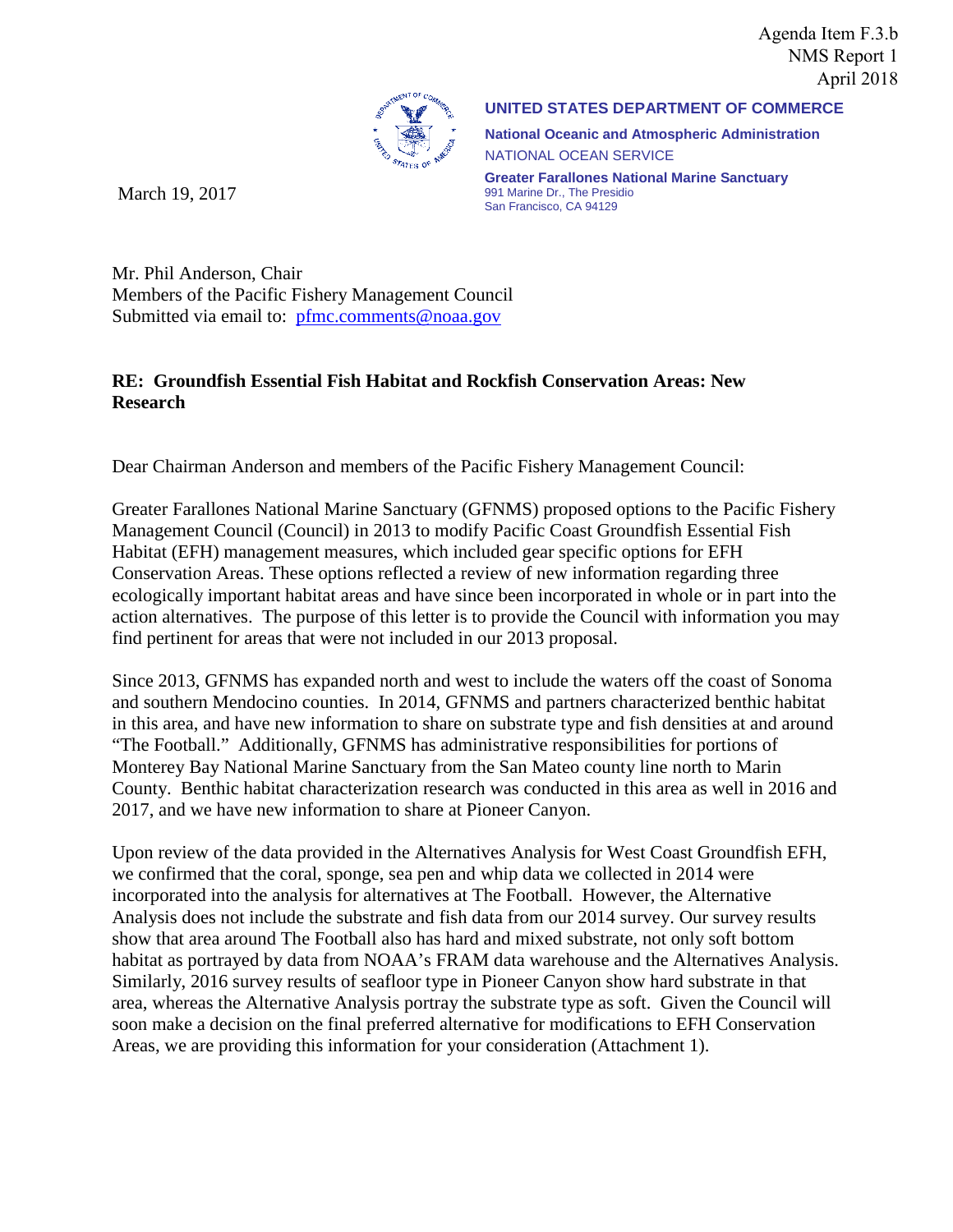Agenda Item F.3.b NMS Report 1 April 2018



March 19, 2017

**UNITED STATES DEPARTMENT OF COMMERCE**

**National Oceanic and Atmospheric Administration** NATIONAL OCEAN SERVICE

**Greater Farallones National Marine Sanctuary** 991 Marine Dr., The Presidio San Francisco, CA 94129

Mr. Phil Anderson, Chair Members of the Pacific Fishery Management Council Submitted via email to: [pfmc.comments@noaa.gov](mailto:pfmc.comments@noaa.gov)

#### **RE: Groundfish Essential Fish Habitat and Rockfish Conservation Areas: New Research**

Dear Chairman Anderson and members of the Pacific Fishery Management Council:

Greater Farallones National Marine Sanctuary (GFNMS) proposed options to the Pacific Fishery Management Council (Council) in 2013 to modify Pacific Coast Groundfish Essential Fish Habitat (EFH) management measures, which included gear specific options for EFH Conservation Areas. These options reflected a review of new information regarding three ecologically important habitat areas and have since been incorporated in whole or in part into the action alternatives. The purpose of this letter is to provide the Council with information you may find pertinent for areas that were not included in our 2013 proposal.

Since 2013, GFNMS has expanded north and west to include the waters off the coast of Sonoma and southern Mendocino counties. In 2014, GFNMS and partners characterized benthic habitat in this area, and have new information to share on substrate type and fish densities at and around "The Football." Additionally, GFNMS has administrative responsibilities for portions of Monterey Bay National Marine Sanctuary from the San Mateo county line north to Marin County. Benthic habitat characterization research was conducted in this area as well in 2016 and 2017, and we have new information to share at Pioneer Canyon.

Upon review of the data provided in the Alternatives Analysis for West Coast Groundfish EFH, we confirmed that the coral, sponge, sea pen and whip data we collected in 2014 were incorporated into the analysis for alternatives at The Football. However, the Alternative Analysis does not include the substrate and fish data from our 2014 survey. Our survey results show that area around The Football also has hard and mixed substrate, not only soft bottom habitat as portrayed by data from NOAA's FRAM data warehouse and the Alternatives Analysis. Similarly, 2016 survey results of seafloor type in Pioneer Canyon show hard substrate in that area, whereas the Alternative Analysis portray the substrate type as soft. Given the Council will soon make a decision on the final preferred alternative for modifications to EFH Conservation Areas, we are providing this information for your consideration (Attachment 1).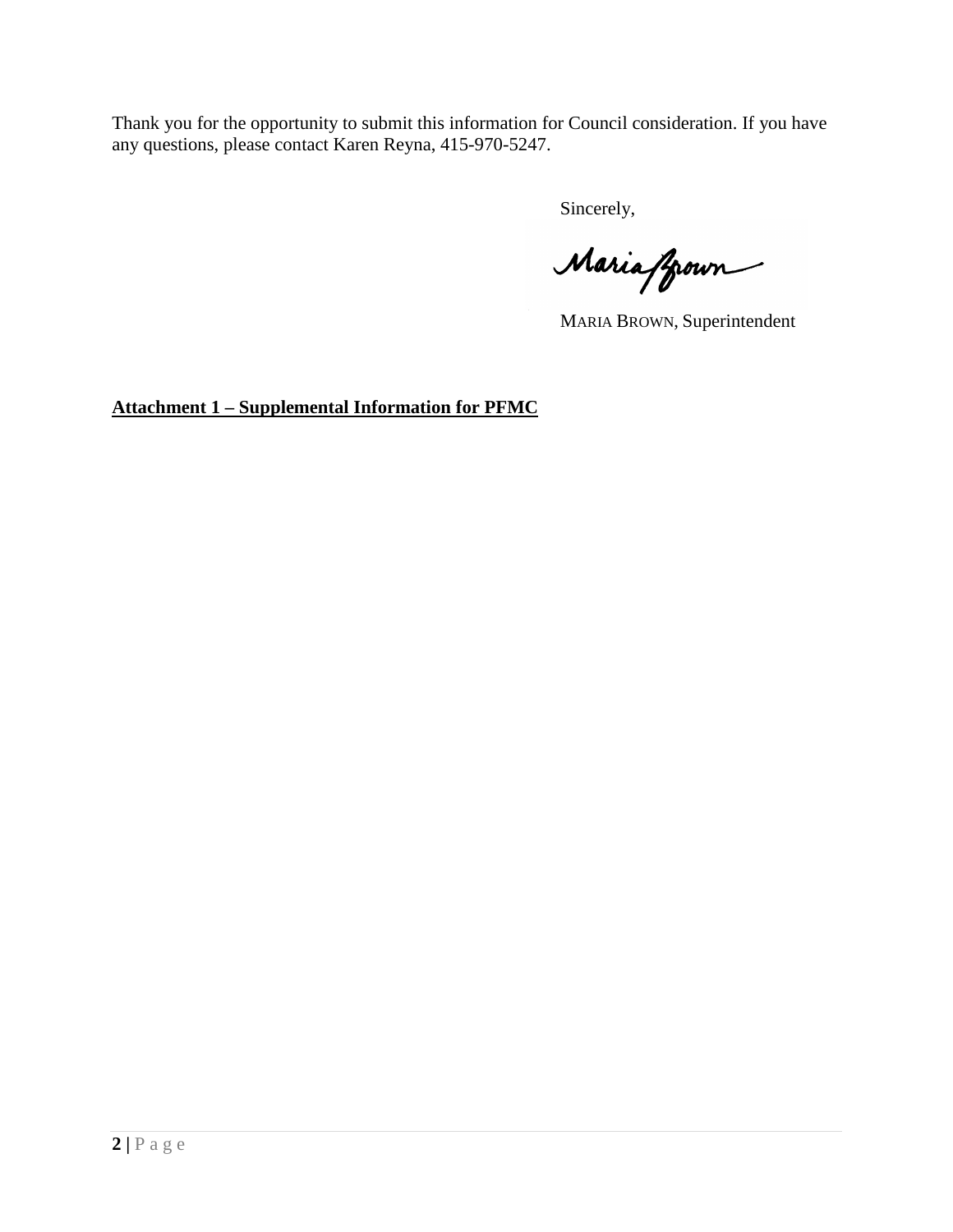Thank you for the opportunity to submit this information for Council consideration. If you have any questions, please contact Karen Reyna, 415-970-5247.

Sincerely,

Maria ffroun

MARIA BROWN, Superintendent

**Attachment 1 – Supplemental Information for PFMC**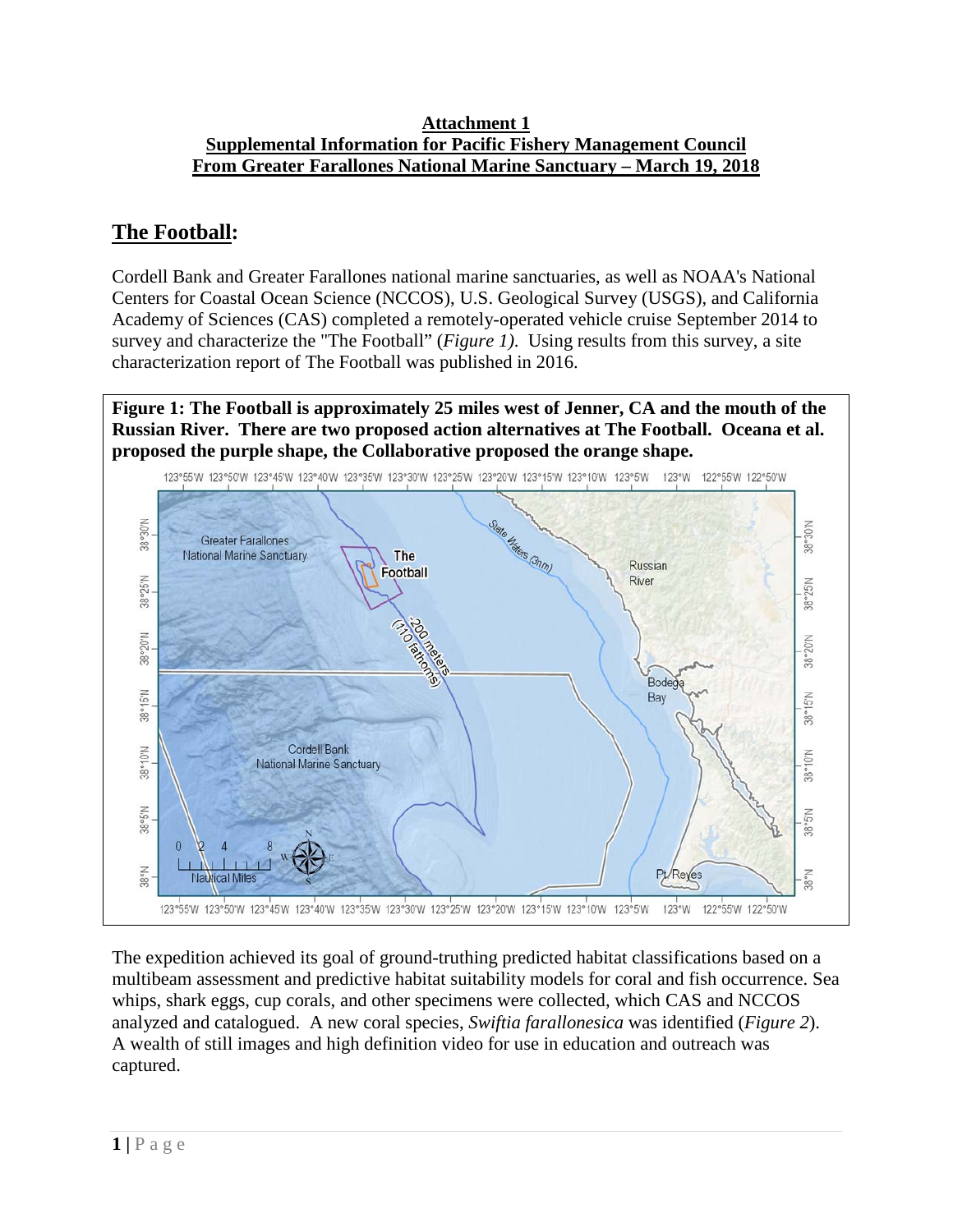#### **Attachment 1 Supplemental Information for Pacific Fishery Management Council From Greater Farallones National Marine Sanctuary – March 19, 2018**

# **The Football:**

Cordell Bank and Greater Farallones national marine sanctuaries, as well as NOAA's National Centers for Coastal Ocean Science (NCCOS), U.S. Geological Survey (USGS), and California Academy of Sciences (CAS) completed a remotely-operated vehicle cruise September 2014 to survey and characterize the "The Football" (*Figure 1)*. Using results from this survey, a site characterization report of The Football was published in 2016.

**Figure 1: The Football is approximately 25 miles west of Jenner, CA and the mouth of the Russian River. There are two proposed action alternatives at The Football. Oceana et al. proposed the purple shape, the Collaborative proposed the orange shape.**



The expedition achieved its goal of ground-truthing predicted habitat classifications based on a multibeam assessment and predictive habitat suitability models for coral and fish occurrence. Sea whips, shark eggs, cup corals, and other specimens were collected, which CAS and NCCOS analyzed and catalogued. A new coral species, *Swiftia farallonesica* was identified (*Figure 2*). A wealth of still images and high definition video for use in education and outreach was captured.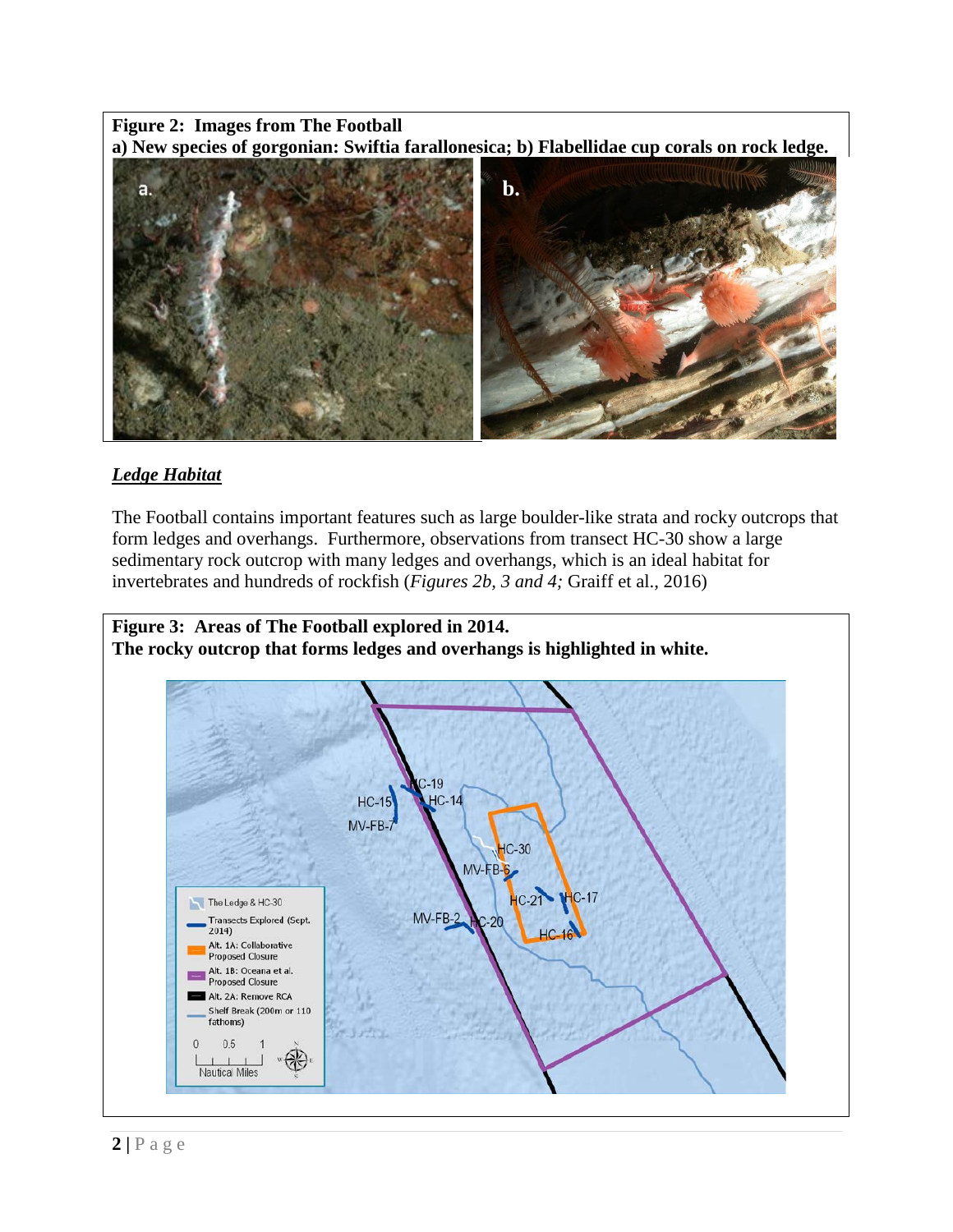#### **Figure 2: Images from The Football a) New species of gorgonian: Swiftia farallonesica; b) Flabellidae cup corals on rock ledge.**



### *Ledge Habitat*

The Football contains important features such as large boulder-like strata and rocky outcrops that form ledges and overhangs. Furthermore, observations from transect HC-30 show a large sedimentary rock outcrop with many ledges and overhangs, which is an ideal habitat for invertebrates and hundreds of rockfish (*Figures 2b, 3 and 4;* Graiff et al., 2016)

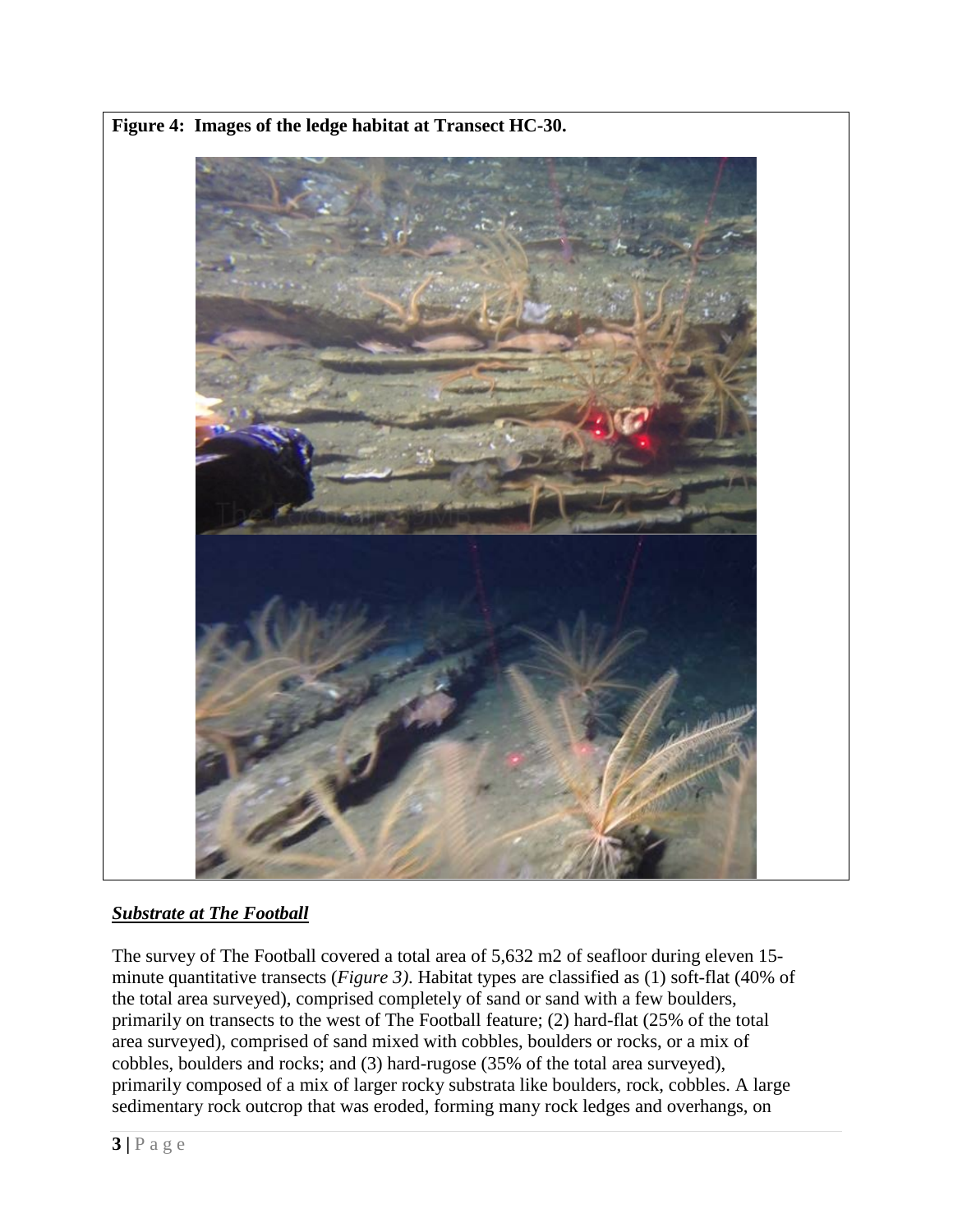

**Figure 4: Images of the ledge habitat at Transect HC-30.**

## *Substrate at The Football*

The survey of The Football covered a total area of 5,632 m2 of seafloor during eleven 15 minute quantitative transects (*Figure 3)*. Habitat types are classified as (1) soft-flat (40% of the total area surveyed), comprised completely of sand or sand with a few boulders, primarily on transects to the west of The Football feature; (2) hard-flat (25% of the total area surveyed), comprised of sand mixed with cobbles, boulders or rocks, or a mix of cobbles, boulders and rocks; and (3) hard-rugose (35% of the total area surveyed), primarily composed of a mix of larger rocky substrata like boulders, rock, cobbles. A large sedimentary rock outcrop that was eroded, forming many rock ledges and overhangs, on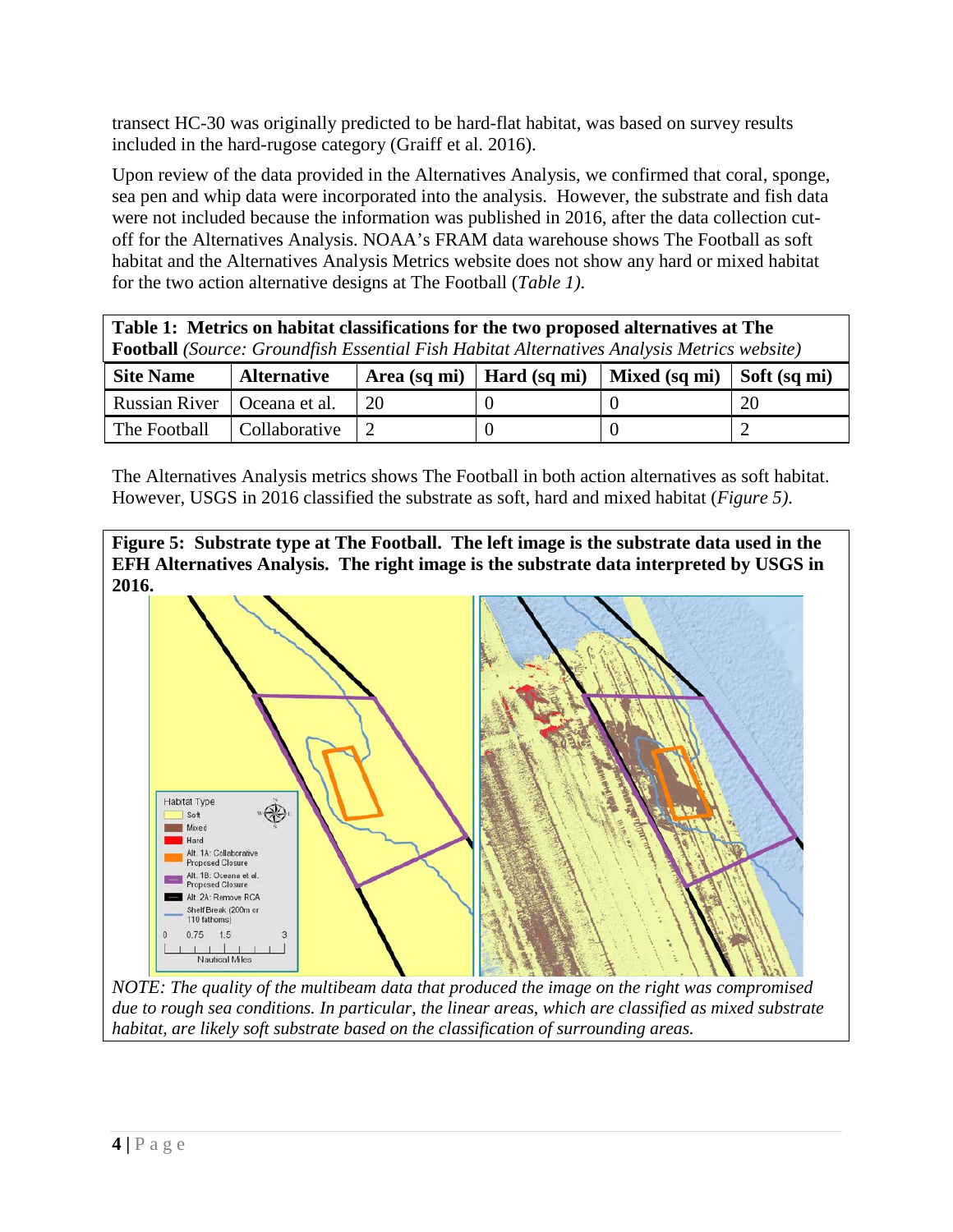transect HC-30 was originally predicted to be hard-flat habitat, was based on survey results included in the hard-rugose category (Graiff et al. 2016).

Upon review of the data provided in the Alternatives Analysis, we confirmed that coral, sponge, sea pen and whip data were incorporated into the analysis. However, the substrate and fish data were not included because the information was published in 2016, after the data collection cutoff for the Alternatives Analysis. NOAA's FRAM data warehouse shows The Football as soft habitat and the Alternatives Analysis Metrics website does not show any hard or mixed habitat for the two action alternative designs at The Football (*Table 1)*.

| Table 1: Metrics on habitat classifications for the two proposed alternatives at The<br><b>Football</b> (Source: Groundfish Essential Fish Habitat Alternatives Analysis Metrics website) |                    |    |                             |               |                      |
|-------------------------------------------------------------------------------------------------------------------------------------------------------------------------------------------|--------------------|----|-----------------------------|---------------|----------------------|
| <b>Site Name</b>                                                                                                                                                                          | <b>Alternative</b> |    | Area (sq mi)   Hard (sq mi) | Mixed (sq mi) | $\vert$ Soft (sq mi) |
| <b>Russian River</b>                                                                                                                                                                      | Oceana et al.      | 20 |                             |               | 20                   |
| The Football                                                                                                                                                                              | Collaborative      |    |                             |               |                      |

The Alternatives Analysis metrics shows The Football in both action alternatives as soft habitat. However, USGS in 2016 classified the substrate as soft, hard and mixed habitat (*Figure 5)*.

**Figure 5: Substrate type at The Football. The left image is the substrate data used in the EFH Alternatives Analysis. The right image is the substrate data interpreted by USGS in 2016.**



*NOTE: The quality of the multibeam data that produced the image on the right was compromised due to rough sea conditions. In particular, the linear areas, which are classified as mixed substrate habitat, are likely soft substrate based on the classification of surrounding areas.*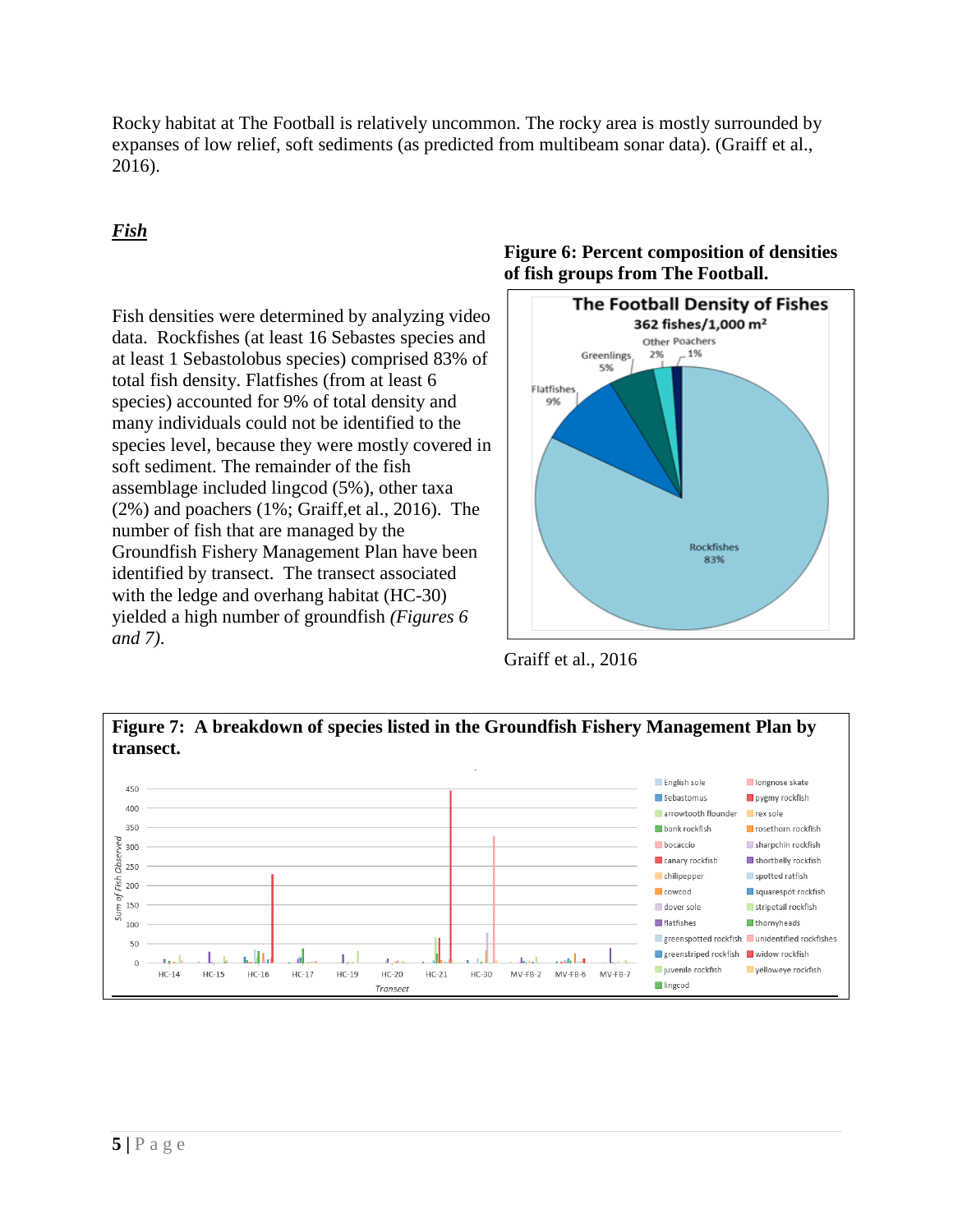Rocky habitat at The Football is relatively uncommon. The rocky area is mostly surrounded by expanses of low relief, soft sediments (as predicted from multibeam sonar data). (Graiff et al., 2016).

## *Fish*

Fish densities were determined by analyzing video data. Rockfishes (at least 16 Sebastes species and at least 1 Sebastolobus species) comprised 83% of total fish density. Flatfishes (from at least 6 species) accounted for 9% of total density and many individuals could not be identified to the species level, because they were mostly covered in soft sediment. The remainder of the fish assemblage included lingcod (5%), other taxa (2%) and poachers (1%; Graiff,et al., 2016). The number of fish that are managed by the Groundfish Fishery Management Plan have been identified by transect. The transect associated with the ledge and overhang habitat (HC-30) yielded a high number of groundfish *(Figures 6 and 7)*.

### **Figure 6: Percent composition of densities of fish groups from The Football.**



Graiff et al., 2016

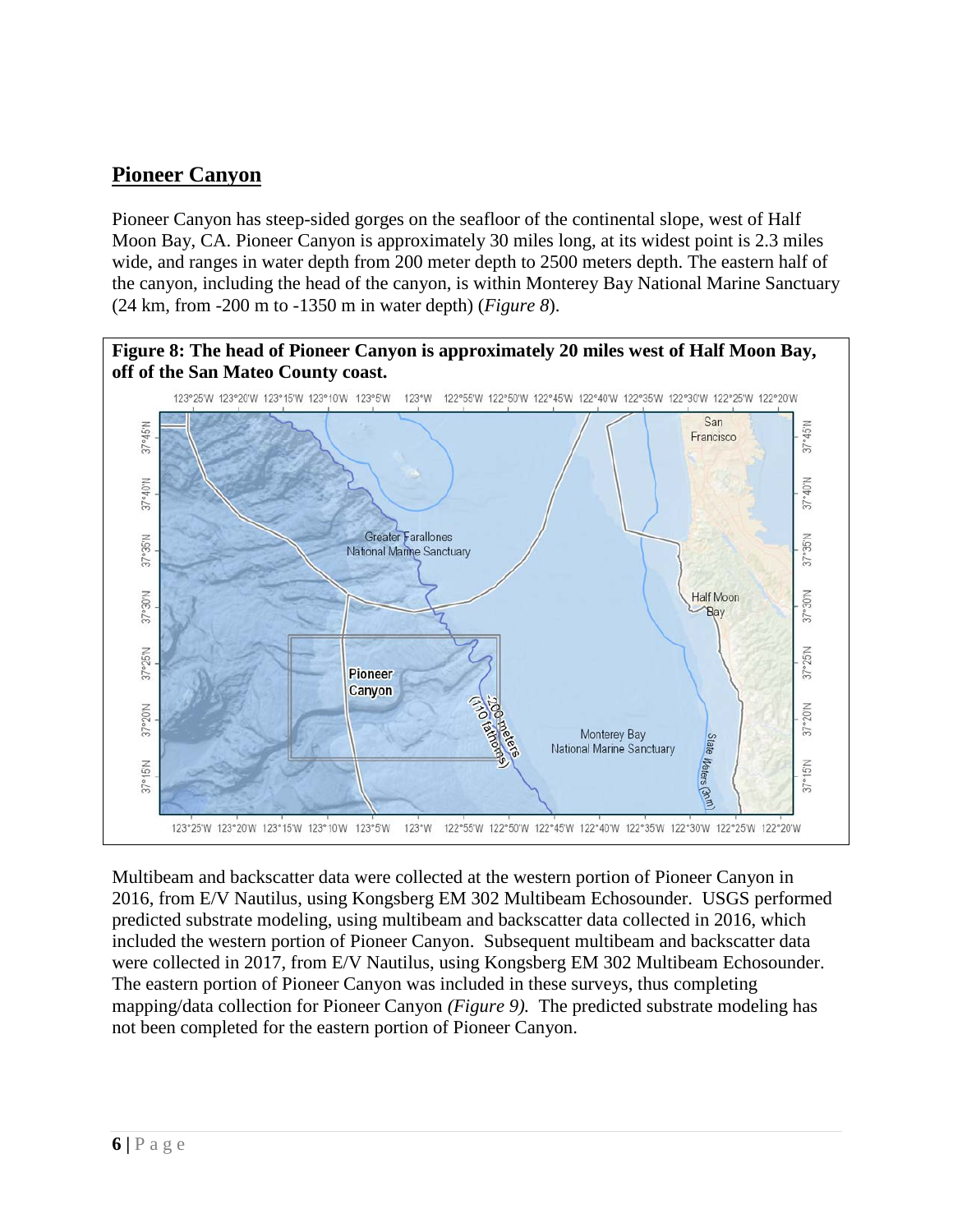# **Pioneer Canyon**

Pioneer Canyon has steep-sided gorges on the seafloor of the continental slope, west of Half Moon Bay, CA. Pioneer Canyon is approximately 30 miles long, at its widest point is 2.3 miles wide, and ranges in water depth from 200 meter depth to 2500 meters depth. The eastern half of the canyon, including the head of the canyon, is within Monterey Bay National Marine Sanctuary (24 km, from -200 m to -1350 m in water depth) (*Figure 8*).



Multibeam and backscatter data were collected at the western portion of Pioneer Canyon in 2016, from E/V Nautilus, using Kongsberg EM 302 Multibeam Echosounder. USGS performed predicted substrate modeling, using multibeam and backscatter data collected in 2016, which included the western portion of Pioneer Canyon. Subsequent multibeam and backscatter data were collected in 2017, from E/V Nautilus, using Kongsberg EM 302 Multibeam Echosounder. The eastern portion of Pioneer Canyon was included in these surveys, thus completing mapping/data collection for Pioneer Canyon *(Figure 9).* The predicted substrate modeling has not been completed for the eastern portion of Pioneer Canyon.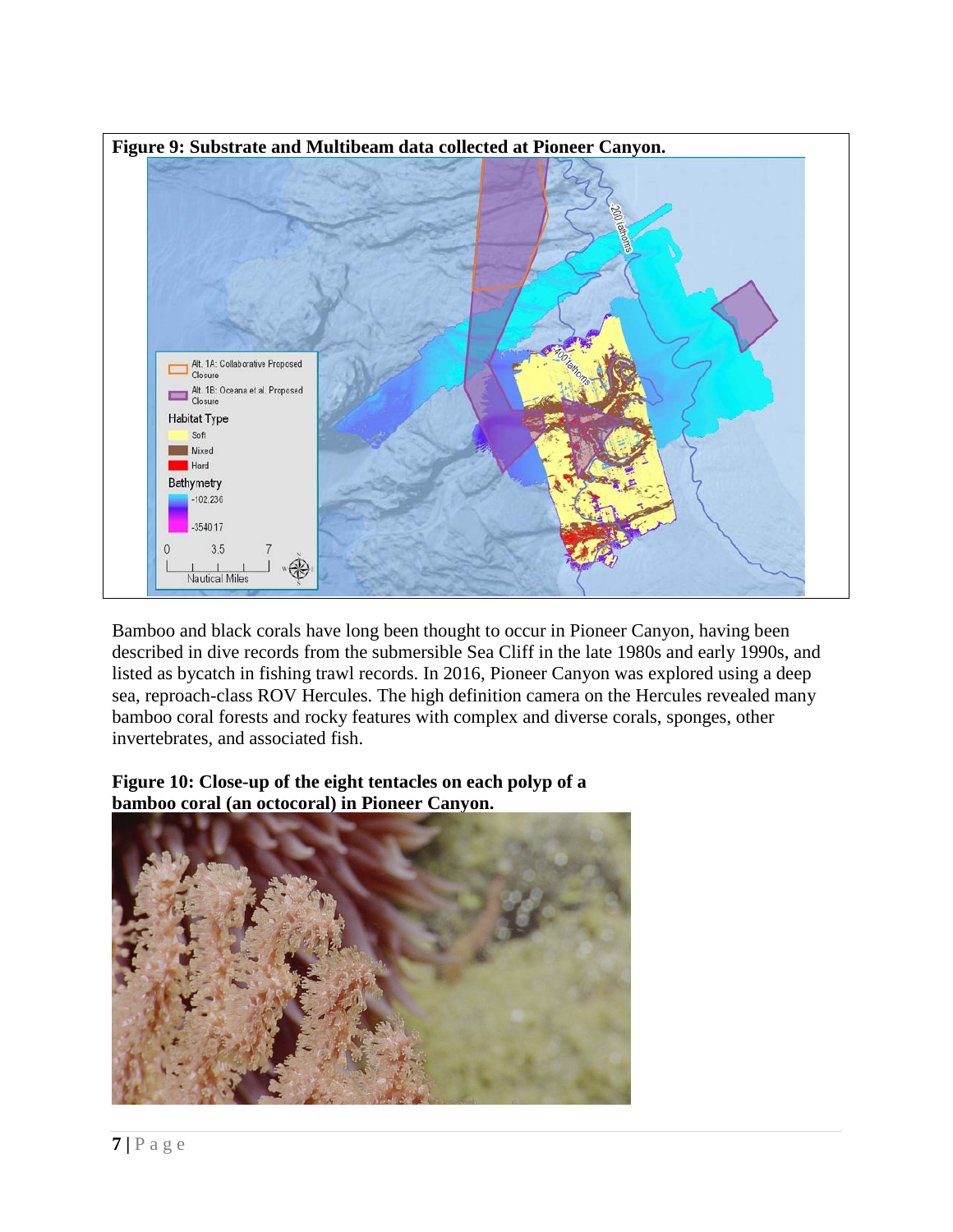

Bamboo and black corals have long been thought to occur in Pioneer Canyon, having been described in dive records from the submersible Sea Cliff in the late 1980s and early 1990s, and listed as bycatch in fishing trawl records. In 2016, Pioneer Canyon was explored using a deep sea, reproach-class ROV Hercules. The high definition camera on the Hercules revealed many bamboo coral forests and rocky features with complex and diverse corals, sponges, other invertebrates, and associated fish.

### **Figure 10: Close-up of the eight tentacles on each polyp of a bamboo coral (an octocoral) in Pioneer Canyon.**